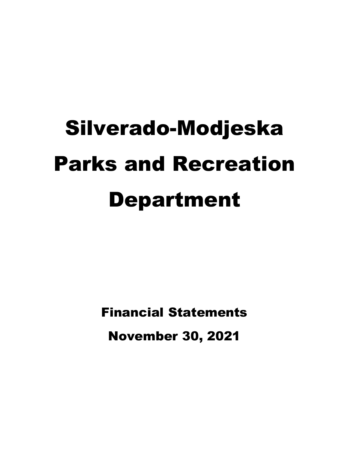# Silverado-Modjeska Parks and Recreation Department

Financial Statements November 30, 2021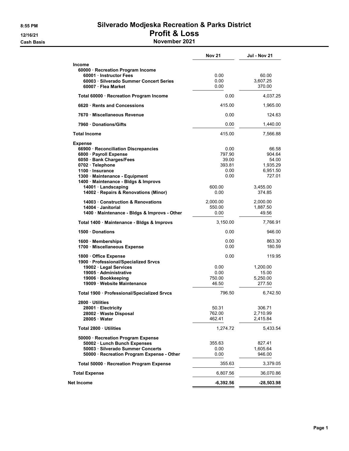# 8:55 PM Silverado Modjeska Recreation & Parks District 12/16/21 Profit & Loss

**Cash Basis** Cash Basis **November 2021** 

|                                                                                                                                                                                                                                                                                                | <b>Nov 21</b>                                                       | <b>Jul - Nov 21</b>                                                              |
|------------------------------------------------------------------------------------------------------------------------------------------------------------------------------------------------------------------------------------------------------------------------------------------------|---------------------------------------------------------------------|----------------------------------------------------------------------------------|
| <b>Income</b><br>60000 · Recreation Program Income<br>60001 Instructor Fees<br>60003 Silverado Summer Concert Series<br>60007 · Flea Market                                                                                                                                                    | 0.00<br>0.00<br>0.00                                                | 60.00<br>3,607.25<br>370.00                                                      |
| Total 60000 · Recreation Program Income                                                                                                                                                                                                                                                        | 0.00                                                                | 4,037.25                                                                         |
| 6620 Rents and Concessions                                                                                                                                                                                                                                                                     | 415.00                                                              | 1,965.00                                                                         |
| 7670 Miscellaneous Revenue                                                                                                                                                                                                                                                                     | 0.00                                                                | 124.63                                                                           |
| 7960 Donations/Gifts                                                                                                                                                                                                                                                                           | 0.00                                                                | 1,440.00                                                                         |
| <b>Total Income</b>                                                                                                                                                                                                                                                                            | 415.00                                                              | 7,566.88                                                                         |
| <b>Expense</b><br>66900 · Reconciliation Discrepancies<br>6800 · Payroll Expense<br>6050 · Bank Charges/Fees<br>0702 · Telephone<br>1100 · Insurance<br>1300 · Maintenance - Equipment<br>1400 · Maintenance - Bldgs & Improvs<br>14001 · Landscaping<br>14002 · Repairs & Renovations (Minor) | 0.00<br>797.90<br>39.00<br>393.81<br>0.00<br>0.00<br>600.00<br>0.00 | 66.58<br>904.64<br>54.00<br>1,935.29<br>6,951.50<br>727.01<br>3,455.00<br>374.85 |
| 14003 Construction & Renovations<br>14004 · Janitorial<br>1400 · Maintenance - Bldgs & Improvs - Other                                                                                                                                                                                         | 2,000.00<br>550.00<br>0.00                                          | 2,000.00<br>1,887.50<br>49.56                                                    |
| Total 1400 · Maintenance - Bldgs & Improvs                                                                                                                                                                                                                                                     | 3,150.00                                                            | 7,766.91                                                                         |
| 1500 Donations                                                                                                                                                                                                                                                                                 | 0.00                                                                | 946.00                                                                           |
| 1600 Memberships<br>1700 · Miscellaneous Expense                                                                                                                                                                                                                                               | 0.00<br>0.00                                                        | 863.30<br>180.59                                                                 |
| 1800 Office Expense<br>1900 · Professional/Specialized Srvcs<br>19002 · Legal Services<br>19005 Administrative<br>19006 · Bookkeeping<br>19009 · Website Maintenance                                                                                                                           | 0.00<br>0.00<br>0.00<br>750.00<br>46.50                             | 119.95<br>1,200.00<br>15.00<br>5,250.00<br>277.50                                |
| Total 1900 · Professional/Specialized Srvcs                                                                                                                                                                                                                                                    | 796.50                                                              | 6,742.50                                                                         |
| 2800 Utilities<br>28001 · Electricity<br>28002 · Waste Disposal<br>28005 Water                                                                                                                                                                                                                 | 50.31<br>762.00<br>462.41                                           | 306.71<br>2,710.99<br>2,415.84                                                   |
| Total 2800 · Utilities                                                                                                                                                                                                                                                                         | 1,274.72                                                            | 5,433.54                                                                         |
| 50000 · Recreation Program Expense<br>50002 · Lunch Bunch Expenses<br>50003 · Silverado Summer Concerts<br>50000 · Recreation Program Expense - Other                                                                                                                                          | 355.63<br>0.00<br>0.00                                              | 827.41<br>1,605.64<br>946.00                                                     |
| Total 50000 · Recreation Program Expense                                                                                                                                                                                                                                                       | 355.63                                                              | 3,379.05                                                                         |
| <b>Total Expense</b>                                                                                                                                                                                                                                                                           | 6,807.56                                                            | 36,070.86                                                                        |
| Net Income                                                                                                                                                                                                                                                                                     | $-6,392.56$                                                         | -28,503.98                                                                       |
|                                                                                                                                                                                                                                                                                                |                                                                     |                                                                                  |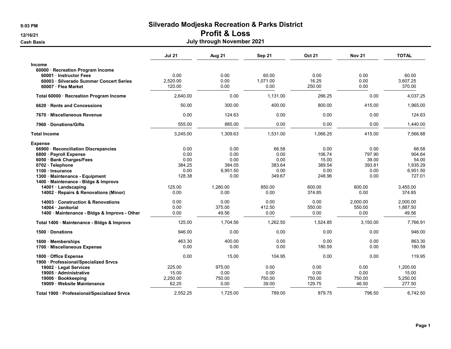#### 9:03 PM Silverado Modjeska Recreation & Parks District

#### 12/16/21 Profit & Loss

| Cash Basis | July through November 2021 |
|------------|----------------------------|
|            |                            |

|                                                                                                                                                                                                                                | <b>Jul 21</b>                                    | <b>Aug 21</b>                                      | Sep 21                                            | <b>Oct 21</b>                                       | <b>Nov 21</b>                                     | <b>TOTAL</b>                                               |
|--------------------------------------------------------------------------------------------------------------------------------------------------------------------------------------------------------------------------------|--------------------------------------------------|----------------------------------------------------|---------------------------------------------------|-----------------------------------------------------|---------------------------------------------------|------------------------------------------------------------|
| <b>Income</b><br>60000 · Recreation Program Income<br>60001 Instructor Fees<br>60003 · Silverado Summer Concert Series<br>60007 · Flea Market                                                                                  | 0.00<br>2,520.00<br>120.00                       | 0.00<br>0.00<br>0.00                               | 60.00<br>1,071.00<br>0.00                         | 0.00<br>16.25<br>250.00                             | 0.00<br>0.00<br>0.00                              | 60.00<br>3,607.25<br>370.00                                |
| Total 60000 · Recreation Program Income                                                                                                                                                                                        | 2,640.00                                         | 0.00                                               | 1,131.00                                          | 266.25                                              | 0.00                                              | 4,037.25                                                   |
| 6620 Rents and Concessions                                                                                                                                                                                                     | 50.00                                            | 300.00                                             | 400.00                                            | 800.00                                              | 415.00                                            | 1,965.00                                                   |
| 7670 Miscellaneous Revenue                                                                                                                                                                                                     | 0.00                                             | 124.63                                             | 0.00                                              | 0.00                                                | 0.00                                              | 124.63                                                     |
| 7960 Donations/Gifts                                                                                                                                                                                                           | 555.00                                           | 885.00                                             | 0.00                                              | 0.00                                                | 0.00                                              | 1,440.00                                                   |
| <b>Total Income</b>                                                                                                                                                                                                            | 3,245.00                                         | 1,309.63                                           | 1,531.00                                          | 1,066.25                                            | 415.00                                            | 7,566.88                                                   |
| <b>Expense</b><br>66900 · Reconciliation Discrepancies<br>6800 · Payroll Expense<br>6050 · Bank Charges/Fees<br>0702 · Telephone<br>1100 · Insurance<br>1300 · Maintenance - Equipment<br>1400 · Maintenance - Bldgs & Improvs | 0.00<br>0.00<br>0.00<br>384.25<br>0.00<br>128.38 | 0.00<br>0.00<br>0.00<br>384.05<br>6,951.50<br>0.00 | 66.58<br>0.00<br>0.00<br>383.64<br>0.00<br>349.67 | 0.00<br>106.74<br>15.00<br>389.54<br>0.00<br>248.96 | 0.00<br>797.90<br>39.00<br>393.81<br>0.00<br>0.00 | 66.58<br>904.64<br>54.00<br>1,935.29<br>6,951.50<br>727.01 |
| 14001 · Landscaping<br>14002 · Repairs & Renovations (Minor)                                                                                                                                                                   | 125.00<br>0.00                                   | 1.280.00<br>0.00                                   | 850.00<br>0.00                                    | 600.00<br>374.85                                    | 600.00<br>0.00                                    | 3,455.00<br>374.85                                         |
| 14003 · Construction & Renovations<br>14004 · Janitorial<br>1400 · Maintenance - Bldgs & Improvs - Other                                                                                                                       | 0.00<br>0.00<br>0.00                             | 0.00<br>375.00<br>49.56                            | 0.00<br>412.50<br>0.00                            | 0.00<br>550.00<br>0.00                              | 2,000.00<br>550.00<br>0.00                        | 2,000.00<br>1,887.50<br>49.56                              |
| Total 1400 · Maintenance - Bldgs & Improvs                                                                                                                                                                                     | 125.00                                           | 1.704.56                                           | 1.262.50                                          | 1.524.85                                            | 3,150.00                                          | 7,766.91                                                   |
| 1500 Donations                                                                                                                                                                                                                 | 946.00                                           | 0.00                                               | 0.00                                              | 0.00                                                | 0.00                                              | 946.00                                                     |
| 1600 Memberships<br>1700 · Miscellaneous Expense                                                                                                                                                                               | 463.30<br>0.00                                   | 400.00<br>0.00                                     | 0.00<br>0.00                                      | 0.00<br>180.59                                      | 0.00<br>0.00                                      | 863.30<br>180.59                                           |
| 1800 · Office Expense<br>1900 · Professional/Specialized Srvcs<br>19002 · Legal Services<br>19005 · Administrative<br>19006 · Bookkeeping<br>19009 · Website Maintenance                                                       | 0.00<br>225.00<br>15.00<br>2,250.00<br>62.25     | 15.00<br>975.00<br>0.00<br>750.00<br>0.00          | 104.95<br>0.00<br>0.00<br>750.00<br>39.00         | 0.00<br>0.00<br>0.00<br>750.00<br>129.75            | 0.00<br>0.00<br>0.00<br>750.00<br>46.50           | 119.95<br>1,200.00<br>15.00<br>5,250.00<br>277.50          |
| Total 1900 · Professional/Specialized Srvcs                                                                                                                                                                                    | 2,552.25                                         | 1,725.00                                           | 789.00                                            | 879.75                                              | 796.50                                            | 6,742.50                                                   |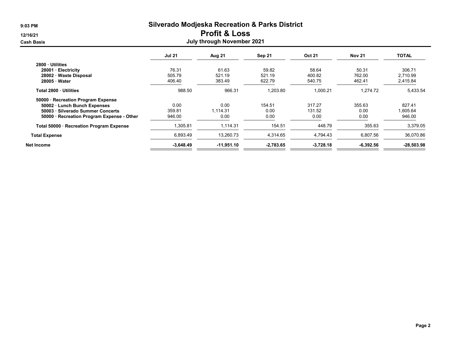# 9:03 PM Silverado Modjeska Recreation & Parks District

### 12/16/21 Profit & Loss

| <b>Cash Basis</b>                          |               | <b>July through November 2021</b> |             |               |               |              |
|--------------------------------------------|---------------|-----------------------------------|-------------|---------------|---------------|--------------|
|                                            | <b>Jul 21</b> | Aug 21                            | Sep 21      | <b>Oct 21</b> | <b>Nov 21</b> | <b>TOTAL</b> |
| 2800 Utilities                             |               |                                   |             |               |               |              |
| 28001 · Electricity                        | 76.31         | 61.63                             | 59.82       | 58.64         | 50.31         | 306.71       |
| 28002 · Waste Disposal                     | 505.79        | 521.19                            | 521.19      | 400.82        | 762.00        | 2,710.99     |
| 28005 Water                                | 406.40        | 383.49                            | 622.79      | 540.75        | 462.41        | 2,415.84     |
| Total 2800 · Utilities                     | 988.50        | 966.31                            | 1,203.80    | 1,000.21      | 1,274.72      | 5,433.54     |
| 50000 · Recreation Program Expense         |               |                                   |             |               |               |              |
| 50002 · Lunch Bunch Expenses               | 0.00          | 0.00                              | 154.51      | 317.27        | 355.63        | 827.41       |
| 50003 · Silverado Summer Concerts          | 359.81        | 1,114.31                          | 0.00        | 131.52        | 0.00          | 1,605.64     |
| 50000 · Recreation Program Expense - Other | 946.00        | 0.00                              | 0.00        | 0.00          | 0.00          | 946.00       |
| Total 50000 · Recreation Program Expense   | 1,305.81      | 1,114.31                          | 154.51      | 448.79        | 355.63        | 3,379.05     |
| <b>Total Expense</b>                       | 6,893.49      | 13,260.73                         | 4,314.65    | 4,794.43      | 6,807.56      | 36,070.86    |
| Net Income                                 | $-3.648.49$   | $-11,951.10$                      | $-2,783.65$ | $-3,728.18$   | $-6,392.56$   | $-28,503.98$ |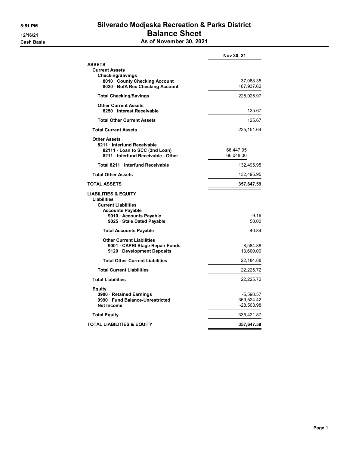#### 8:51 PM Silverado Modjeska Recreation & Parks District 12/16/21 **Balance Sheet Cash Basis** Cash Basis **As of November 30, 2021**

|                                                                                                                                                                | Nov 30, 21                            |
|----------------------------------------------------------------------------------------------------------------------------------------------------------------|---------------------------------------|
| <b>ASSETS</b><br><b>Current Assets</b><br><b>Checking/Savings</b><br>8010 County Checking Account<br>8020 · BofA Rec Checking Account                          | 37,088.35<br>187,937.62               |
| <b>Total Checking/Savings</b>                                                                                                                                  | 225,025.97                            |
| <b>Other Current Assets</b><br>8250 · Interest Receivable                                                                                                      | 125.67                                |
| <b>Total Other Current Assets</b>                                                                                                                              | 125.67                                |
| <b>Total Current Assets</b>                                                                                                                                    | 225,151.64                            |
| <b>Other Assets</b><br>8211 · Interfund Receivable<br>82111 · Loan to SCC (2nd Loan)<br>8211 Interfund Receivable - Other                                      | 66,447.95<br>66,048.00                |
| Total 8211 · Interfund Receivable                                                                                                                              | 132,495.95                            |
| <b>Total Other Assets</b>                                                                                                                                      | 132,495.95                            |
| TOTAL ASSETS                                                                                                                                                   | 357,647.59                            |
| <b>LIABILITIES &amp; EQUITY</b><br>Liabilities<br><b>Current Liabilities</b><br><b>Accounts Payable</b><br>9010 Accounts Payable<br>9025 · Stale Dated Payable | -9.16<br>50.00                        |
| <b>Total Accounts Payable</b>                                                                                                                                  | 40.84                                 |
| <b>Other Current Liabilities</b><br>9001 CAPRI Stage Repair Funds<br>9120 Development Deposits                                                                 | 8,584.88<br>13,600.00                 |
| <b>Total Other Current Liabilities</b>                                                                                                                         | 22,184.88                             |
| <b>Total Current Liabilities</b>                                                                                                                               | 22,225.72                             |
| <b>Total Liabilities</b>                                                                                                                                       | 22,225.72                             |
| Equity<br>3900 · Retained Earnings<br>9990 Fund Balance-Unrestricted<br><b>Net Income</b>                                                                      | -5,598.57<br>369,524.42<br>-28,503.98 |
| <b>Total Equity</b>                                                                                                                                            | 335,421.87                            |
| TOTAL LIABILITIES & EQUITY                                                                                                                                     | 357,647.59                            |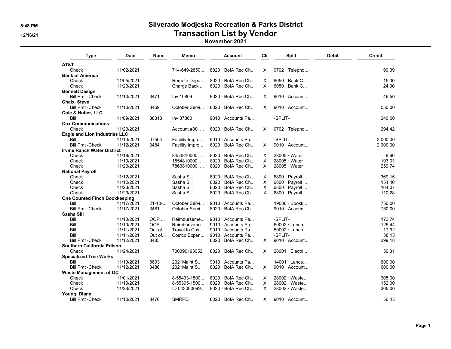# 8:48 PM Silverado Modjeska Recreation & Parks District 12/16/21 **Transaction List by Vendor Transaction List by Vendor**

#### November 2021

| <b>Type</b>                          | <b>Date</b> | <b>Num</b>   | Memo           | <b>Account</b>           | Clr          | <b>Split</b>         | <b>Debit</b> | <b>Credit</b> |
|--------------------------------------|-------------|--------------|----------------|--------------------------|--------------|----------------------|--------------|---------------|
| AT&T                                 |             |              |                |                          |              |                      |              |               |
| Check                                | 11/02/2021  |              | 714-649-2850   | $8020 \cdot$ BofA Rec Ch | X            | $0702 \cdot$ Telepho |              | 99.39         |
| <b>Bank of America</b>               |             |              |                |                          |              |                      |              |               |
| Check                                | 11/05/2021  |              | Remote Depo    | $8020 \cdot$ BofA Rec Ch | Χ            | $6050 \cdot$ Bank C  |              | 15.00         |
| Check                                | 11/23/2021  |              | Charge Back    | 8020 · BofA Rec Ch       | $\mathsf{X}$ | 6050 · Bank C        |              | 24.00         |
| <b>Bennett Design</b>                |             |              |                |                          |              |                      |              |               |
| <b>Bill Pmt -Check</b>               | 11/10/2021  | 3471         | Inv 10809      | $8020 \cdot$ BofA Rec Ch | X            | 9010 · Account       |              | 46.50         |
| Chaix, Steve                         |             |              |                |                          |              |                      |              |               |
| <b>Bill Pmt -Check</b>               | 11/10/2021  | 3469         | October Servi  | $8020 \cdot$ BofA Rec Ch | X            | $9010 \cdot$ Account |              | 550.00        |
| Cole & Huber, LLC                    |             |              |                |                          |              |                      |              |               |
| Bill                                 | 11/09/2021  | 38313        | Inv 37800      | 9010 · Accounts Pa       |              | -SPLIT-              |              | 240.00        |
| <b>Cox Communications</b>            |             |              |                |                          |              |                      |              |               |
| Check                                | 11/23/2021  |              | Account #001   | 8020 · BofA Rec Ch       | X            | $0702 \cdot$ Telepho |              | 294.42        |
| <b>Eagle and Lion Industries LLC</b> |             |              |                |                          |              |                      |              |               |
| Bill                                 | 11/10/2021  | 07564        | Facility Impro | $9010 \cdot$ Accounts Pa |              | -SPLIT-              |              | 2.000.00      |
| <b>Bill Pmt -Check</b>               | 11/12/2021  | 3484         | Facility Impro | $8020 \cdot$ BofA Rec Ch | X            | $9010 \cdot$ Account |              | 2,000.00      |
| <b>Irvine Ranch Water District</b>   |             |              |                |                          |              |                      |              |               |
| Check                                | 11/18/2021  |              | 8454810000,    | $8020 \cdot$ BofA Rec Ch | X            | $28005 \cdot Water$  |              | 9.66          |
| Check                                | 11/19/2021  |              | 1554810000,    | 8020 · BofA Rec Ch       | X            | $28005 \cdot Water$  |              | 193.01        |
| Check                                | 11/23/2021  |              | 7863810000,    | 8020 · BofA Rec Ch       | X            | $28005 \cdot Water$  |              | 259.74        |
| <b>National Payroll</b>              |             |              |                |                          |              |                      |              |               |
| Check                                | 11/12/2021  |              | Sasha Sill     | $8020 \cdot$ BofA Rec Ch | X            | 6800 $\cdot$ Payroll |              | 369.15        |
| Check                                | 11/12/2021  |              | Sasha Sill     | 8020 · BofA Rec Ch       | $\times$     | $6800 \cdot$ Payroll |              | 154.40        |
| Check                                | 11/23/2021  |              | Sasha Sill     | $8020 \cdot$ BofA Rec Ch | $\times$     | 6800 $\cdot$ Payroll |              | 164.07        |
| Check                                | 11/29/2021  |              | Sasha Sill     | $8020 \cdot$ BofA Rec Ch | X            | 6800 · Payroll       |              | 110.28        |
| <b>One Counted Finch Bookkeeping</b> |             |              |                |                          |              |                      |              |               |
| Bill                                 | 11/17/2021  | $21 - 10 - $ | October Servi  | 9010 · Accounts Pa       |              | $19006 \cdot Book$   |              | 750.00        |
| <b>Bill Pmt -Check</b>               | 11/17/2021  | 3481         | October Servi  | 8020 · BofA Rec Ch       |              | $9010 \cdot$ Account |              | 750.00        |
| Sasha Sill                           |             |              |                |                          |              |                      |              |               |
| Bill                                 | 11/10/2021  | OOP          | Reimburseme    | 9010 · Accounts Pa       |              | -SPLIT-              |              | 173.74        |
| Bill                                 | 11/10/2021  | OOP          | Reimburseme    | 9010 · Accounts Pa       |              | 50002 · Lunch        |              | 125.44        |
| Bill                                 | 11/11/2021  | Out of       | Travel to Cost | 9010 · Accounts Pa       |              | $50002 \cdot$ Lunch  |              | 17.92         |
| Bill                                 | 11/11/2021  | Out of       | Costco Expen   | 9010 · Accounts Pa       |              | -SPLIT-              |              | 38.13         |
| <b>Bill Pmt - Check</b>              | 11/12/2021  | 3483         |                | 8020 · BofA Rec Ch       | X            | $9010 \cdot$ Account |              | 299.18        |
| Southern California Edison           |             |              |                |                          |              |                      |              |               |
| Check                                | 11/24/2021  |              | 700390193052   | 8020 · BofA Rec Ch       | X            | 28001 · Electri      |              | 50.31         |
| <b>Specialized Tree Works</b>        |             |              |                |                          |              |                      |              |               |
| Bill                                 | 11/10/2021  | 8693         | 2021 Maint S   | 9010 · Accounts Pa       |              | $14001 \cdot$ Lands  |              | 600.00        |
| <b>Bill Pmt -Check</b>               | 11/12/2021  | 3486         | 2021 Maint S   | 8020 · BofA Rec Ch       | X            | $9010 \cdot$ Account |              | 600.00        |
| <b>Waste Management of OC</b>        |             |              |                |                          |              |                      |              |               |
| Check                                | 11/01/2021  |              | 8-55433-1500   | $8020 \cdot$ BofA Rec Ch | X            | 28002 · Waste        |              | 305.00        |
| Check                                | 11/19/2021  |              | 8-55395-1500   | $8020 \cdot$ BofA Rec Ch | X            | 28002 · Waste        |              | 152.00        |
| Check                                | 11/23/2021  |              | ID 043000099   | 8020 · BofA Rec Ch       | X            | 28002 · Waste        |              | 305.00        |
| Young, Diane                         |             |              |                |                          |              |                      |              |               |
| <b>Bill Pmt -Check</b>               | 11/10/2021  | 3470         | <b>SMRPD</b>   | 8020 · BofA Rec Ch       | X            | 9010 · Account       |              | 56.45         |